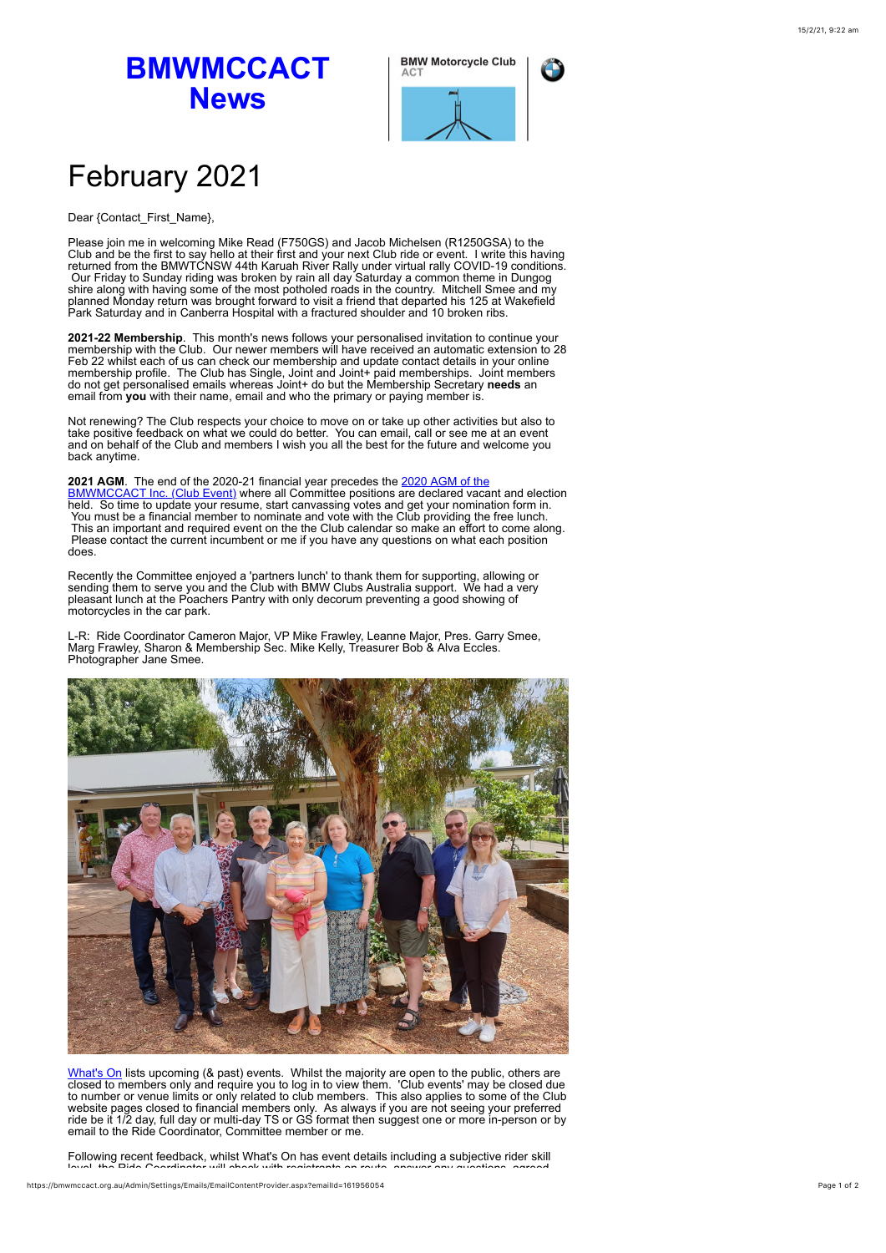## **BMWMCCACT News**



## February 2021

## Dear {Contact\_First\_Name},

Please join me in welcoming Mike Read (F750GS) and Jacob Michelsen (R1250GSA) to the Club and be the first to say hello at their first and your next Club ride or event. I write this having returned from the BMWTCNSW 44th Karuah River Rally under virtual rally COVID-19 conditions. Our Friday to Sunday riding was broken by rain all day Saturday a common theme in Dungog shire along with having some of the most potholed roads in the country. Mitchell Smee and my planned Monday return was brought forward to visit a friend that departed his 125 at Wakefield Park Saturday and in Canberra Hospital with a fractured shoulder and 10 broken ribs.

**2021-22 Membership**. This month's news follows your personalised invitation to continue your membership with the Club. Our newer members will have received an automatic extension to 28 Feb 22 whilst each of us can check our membership and update contact details in your online<br>membership profile. The Club has Single, Joint and Joint+ paid memberships. Joint members<br>do not get personalised emails whereas J

Not renewing? The Club respects your choice to move on or take up other activities but also to take positive feedback on what we could do better. You can email, call or see me at an event and on behalf of the Club and members I wish you all the best for the future and welcome you back anytime.

**2021 AGM**. The end of the 2020-21 financial year precedes the 2020 AGM of the [BMWMCCACT Inc. \(Club Event\) where all Committee positions are declared vaca](https://bmwmccact.org.au/event-4072580)nt and election held. So time to update your resume, start canvassing votes and get your nomination form in. You must be a financial member to nominate and vote with the Club providing the free lunch. This an important and required event on the the Club calendar so make an effort to come along. Please contact the current incumbent or me if you have any questions on what each position does.

Recently the Committee enjoyed a 'partners lunch' to thank them for supporting, allowing or<br>sending them to serve you and the Club with BMW Clubs Australia support. We had a very<br>pleasant lunch at the Poachers Pantry with motorcycles in the car park.

L-R: Ride Coordinator Cameron Major, VP Mike Frawley, Leanne Major, Pres. Garry Smee, Marg Frawley, Sharon & Membership Sec. Mike Kelly, Treasurer Bob & Alva Eccles. Photographer Jane Smee.



[What's On](https://bmwmccact.org.au/page-1419638) lists upcoming (& past) events. Whilst the majority are open to the public, others are closed to members only and require you to log in to view them. 'Club events' may be closed due to number or venue limits or email to the Ride Coordinator, Committee member or me.

Following recent feedback, whilst What's On has event details including a subjective rider skill level, the Ride Coordinator will check with registrants on route, answer any questions, agreed